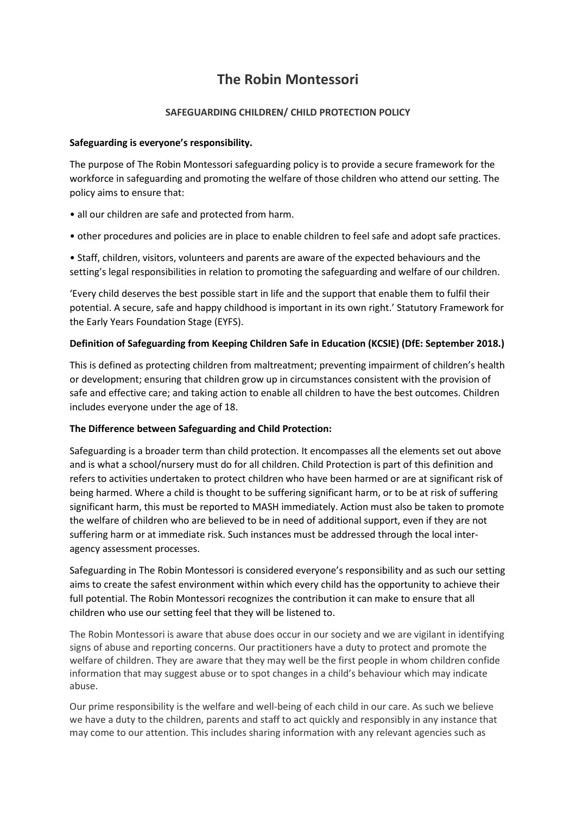# **The Robin Montessori**

# **SAFEGUARDING CHILDREN/ CHILD PROTECTION POLICY**

# **Safeguarding is everyone's responsibility.**

The purpose of The Robin Montessori safeguarding policy is to provide a secure framework for the workforce in safeguarding and promoting the welfare of those children who attend our setting. The policy aims to ensure that:

- all our children are safe and protected from harm.
- other procedures and policies are in place to enable children to feel safe and adopt safe practices.

• Staff, children, visitors, volunteers and parents are aware of the expected behaviours and the setting's legal responsibilities in relation to promoting the safeguarding and welfare of our children.

'Every child deserves the best possible start in life and the support that enable them to fulfil their potential. A secure, safe and happy childhood is important in its own right.' Statutory Framework for the Early Years Foundation Stage (EYFS).

# **Definition of Safeguarding from Keeping Children Safe in Education (KCSIE) (DfE: September 2018.)**

This is defined as protecting children from maltreatment; preventing impairment of children's health or development; ensuring that children grow up in circumstances consistent with the provision of safe and effective care; and taking action to enable all children to have the best outcomes. Children includes everyone under the age of 18.

# **The Difference between Safeguarding and Child Protection:**

Safeguarding is a broader term than child protection. It encompasses all the elements set out above and is what a school/nursery must do for all children. Child Protection is part of this definition and refers to activities undertaken to protect children who have been harmed or are at significant risk of being harmed. Where a child is thought to be suffering significant harm, or to be at risk of suffering significant harm, this must be reported to MASH immediately. Action must also be taken to promote the welfare of children who are believed to be in need of additional support, even if they are not suffering harm or at immediate risk. Such instances must be addressed through the local interagency assessment processes.

Safeguarding in The Robin Montessori is considered everyone's responsibility and as such our setting aims to create the safest environment within which every child has the opportunity to achieve their full potential. The Robin Montessori recognizes the contribution it can make to ensure that all children who use our setting feel that they will be listened to.

The Robin Montessori is aware that abuse does occur in our society and we are vigilant in identifying signs of abuse and reporting concerns. Our practitioners have a duty to protect and promote the welfare of children. They are aware that they may well be the first people in whom children confide information that may suggest abuse or to spot changes in a child's behaviour which may indicate abuse.

Our prime responsibility is the welfare and well-being of each child in our care. As such we believe we have a duty to the children, parents and staff to act quickly and responsibly in any instance that may come to our attention. This includes sharing information with any relevant agencies such as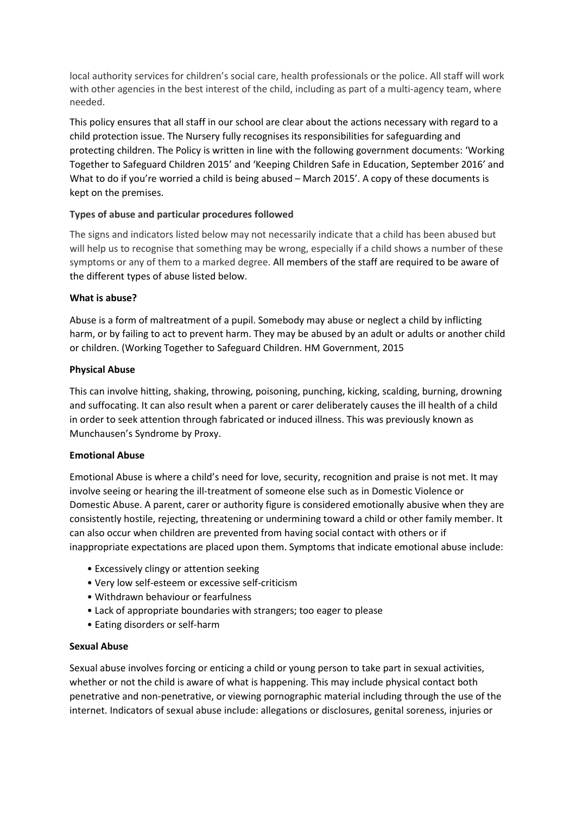local authority services for children's social care, health professionals or the police. All staff will work with other agencies in the best interest of the child, including as part of a multi-agency team, where needed.

This policy ensures that all staff in our school are clear about the actions necessary with regard to a child protection issue. The Nursery fully recognises its responsibilities for safeguarding and protecting children. The Policy is written in line with the following government documents: 'Working Together to Safeguard Children 2015' and 'Keeping Children Safe in Education, September 2016' and What to do if you're worried a child is being abused – March 2015'. A copy of these documents is kept on the premises.

# **Types of abuse and particular procedures followed**

The signs and indicators listed below may not necessarily indicate that a child has been abused but will help us to recognise that something may be wrong, especially if a child shows a number of these symptoms or any of them to a marked degree. All members of the staff are required to be aware of the different types of abuse listed below.

# **What is abuse?**

Abuse is a form of maltreatment of a pupil. Somebody may abuse or neglect a child by inflicting harm, or by failing to act to prevent harm. They may be abused by an adult or adults or another child or children. (Working Together to Safeguard Children. HM Government, 2015

# **Physical Abuse**

This can involve hitting, shaking, throwing, poisoning, punching, kicking, scalding, burning, drowning and suffocating. It can also result when a parent or carer deliberately causes the ill health of a child in order to seek attention through fabricated or induced illness. This was previously known as Munchausen's Syndrome by Proxy.

#### **Emotional Abuse**

Emotional Abuse is where a child's need for love, security, recognition and praise is not met. It may involve seeing or hearing the ill-treatment of someone else such as in Domestic Violence or Domestic Abuse. A parent, carer or authority figure is considered emotionally abusive when they are consistently hostile, rejecting, threatening or undermining toward a child or other family member. It can also occur when children are prevented from having social contact with others or if inappropriate expectations are placed upon them. Symptoms that indicate emotional abuse include:

- Excessively clingy or attention seeking
- Very low self-esteem or excessive self-criticism
- Withdrawn behaviour or fearfulness
- Lack of appropriate boundaries with strangers; too eager to please
- Eating disorders or self-harm

#### **Sexual Abuse**

Sexual abuse involves forcing or enticing a child or young person to take part in sexual activities, whether or not the child is aware of what is happening. This may include physical contact both penetrative and non-penetrative, or viewing pornographic material including through the use of the internet. Indicators of sexual abuse include: allegations or disclosures, genital soreness, injuries or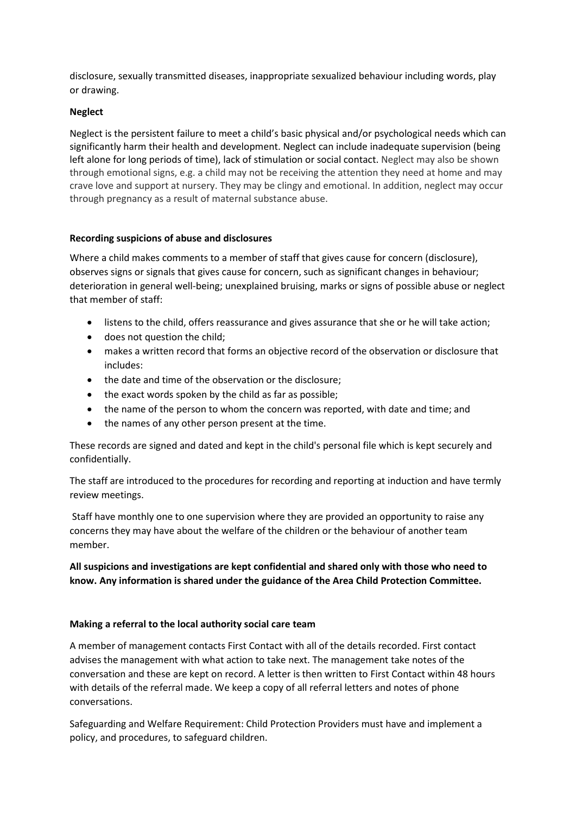disclosure, sexually transmitted diseases, inappropriate sexualized behaviour including words, play or drawing.

# **Neglect**

Neglect is the persistent failure to meet a child's basic physical and/or psychological needs which can significantly harm their health and development. Neglect can include inadequate supervision (being left alone for long periods of time), lack of stimulation or social contact. Neglect may also be shown through emotional signs, e.g. a child may not be receiving the attention they need at home and may crave love and support at nursery. They may be clingy and emotional. In addition, neglect may occur through pregnancy as a result of maternal substance abuse.

# **Recording suspicions of abuse and disclosures**

Where a child makes comments to a member of staff that gives cause for concern (disclosure), observes signs or signals that gives cause for concern, such as significant changes in behaviour; deterioration in general well-being; unexplained bruising, marks or signs of possible abuse or neglect that member of staff:

- listens to the child, offers reassurance and gives assurance that she or he will take action;
- does not question the child:
- makes a written record that forms an objective record of the observation or disclosure that includes:
- the date and time of the observation or the disclosure;
- the exact words spoken by the child as far as possible;
- the name of the person to whom the concern was reported, with date and time; and
- the names of any other person present at the time.

These records are signed and dated and kept in the child's personal file which is kept securely and confidentially.

The staff are introduced to the procedures for recording and reporting at induction and have termly review meetings.

Staff have monthly one to one supervision where they are provided an opportunity to raise any concerns they may have about the welfare of the children or the behaviour of another team member.

# **All suspicions and investigations are kept confidential and shared only with those who need to know. Any information is shared under the guidance of the Area Child Protection Committee.**

# **Making a referral to the local authority social care team**

A member of management contacts First Contact with all of the details recorded. First contact advises the management with what action to take next. The management take notes of the conversation and these are kept on record. A letter is then written to First Contact within 48 hours with details of the referral made. We keep a copy of all referral letters and notes of phone conversations.

Safeguarding and Welfare Requirement: Child Protection Providers must have and implement a policy, and procedures, to safeguard children.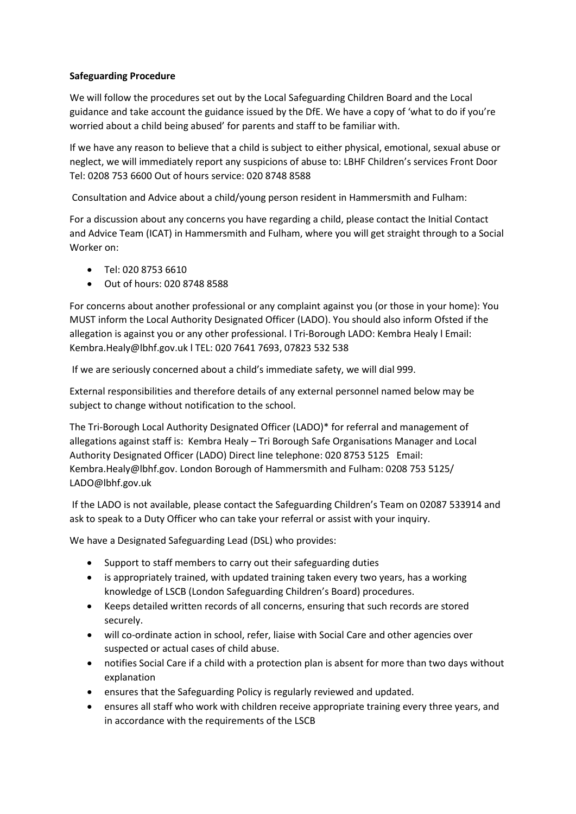# **Safeguarding Procedure**

We will follow the procedures set out by the Local Safeguarding Children Board and the Local guidance and take account the guidance issued by the DfE. We have a copy of 'what to do if you're worried about a child being abused' for parents and staff to be familiar with.

If we have any reason to believe that a child is subject to either physical, emotional, sexual abuse or neglect, we will immediately report any suspicions of abuse to: LBHF Children's services Front Door Tel: 0208 753 6600 Out of hours service: 020 8748 8588

Consultation and Advice about a child/young person resident in Hammersmith and Fulham:

For a discussion about any concerns you have regarding a child, please contact the Initial Contact and Advice Team (ICAT) in Hammersmith and Fulham, where you will get straight through to a Social Worker on:

- Tel: 020 8753 6610
- Out of hours: 020 8748 8588

For concerns about another professional or any complaint against you (or those in your home): You MUST inform the Local Authority Designated Officer (LADO). You should also inform Ofsted if the allegation is against you or any other professional. l Tri-Borough LADO: Kembra Healy l Email: Kembra.Healy@lbhf.gov.uk l TEL: 020 7641 7693, 07823 532 538

If we are seriously concerned about a child's immediate safety, we will dial 999.

External responsibilities and therefore details of any external personnel named below may be subject to change without notification to the school.

The Tri-Borough Local Authority Designated Officer (LADO)\* for referral and management of allegations against staff is: Kembra Healy – Tri Borough Safe Organisations Manager and Local Authority Designated Officer (LADO) Direct line telephone: 020 8753 5125 Email: Kembra.Healy@lbhf.gov. London Borough of Hammersmith and Fulham: 0208 753 5125/ LADO@lbhf.gov.uk

If the LADO is not available, please contact the Safeguarding Children's Team on 02087 533914 and ask to speak to a Duty Officer who can take your referral or assist with your inquiry.

We have a Designated Safeguarding Lead (DSL) who provides:

- Support to staff members to carry out their safeguarding duties
- is appropriately trained, with updated training taken every two years, has a working knowledge of LSCB (London Safeguarding Children's Board) procedures.
- Keeps detailed written records of all concerns, ensuring that such records are stored securely.
- will co-ordinate action in school, refer, liaise with Social Care and other agencies over suspected or actual cases of child abuse.
- notifies Social Care if a child with a protection plan is absent for more than two days without explanation
- ensures that the Safeguarding Policy is regularly reviewed and updated.
- ensures all staff who work with children receive appropriate training every three years, and in accordance with the requirements of the LSCB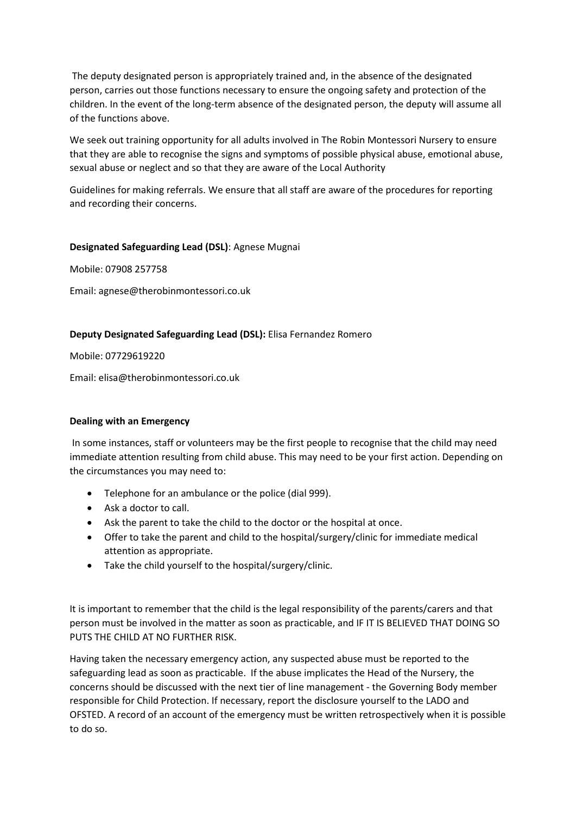The deputy designated person is appropriately trained and, in the absence of the designated person, carries out those functions necessary to ensure the ongoing safety and protection of the children. In the event of the long-term absence of the designated person, the deputy will assume all of the functions above.

We seek out training opportunity for all adults involved in The Robin Montessori Nursery to ensure that they are able to recognise the signs and symptoms of possible physical abuse, emotional abuse, sexual abuse or neglect and so that they are aware of the Local Authority

Guidelines for making referrals. We ensure that all staff are aware of the procedures for reporting and recording their concerns.

# **Designated Safeguarding Lead (DSL)**: Agnese Mugnai

Mobile: 07908 257758

Email: agnese@therobinmontessori.co.uk

# **Deputy Designated Safeguarding Lead (DSL):** Elisa Fernandez Romero

Mobile: 07729619220

Email: elisa@therobinmontessori.co.uk

#### **Dealing with an Emergency**

In some instances, staff or volunteers may be the first people to recognise that the child may need immediate attention resulting from child abuse. This may need to be your first action. Depending on the circumstances you may need to:

- Telephone for an ambulance or the police (dial 999).
- Ask a doctor to call.
- Ask the parent to take the child to the doctor or the hospital at once.
- Offer to take the parent and child to the hospital/surgery/clinic for immediate medical attention as appropriate.
- Take the child yourself to the hospital/surgery/clinic.

It is important to remember that the child is the legal responsibility of the parents/carers and that person must be involved in the matter as soon as practicable, and IF IT IS BELIEVED THAT DOING SO PUTS THE CHILD AT NO FURTHER RISK.

Having taken the necessary emergency action, any suspected abuse must be reported to the safeguarding lead as soon as practicable. If the abuse implicates the Head of the Nursery, the concerns should be discussed with the next tier of line management - the Governing Body member responsible for Child Protection. If necessary, report the disclosure yourself to the LADO and OFSTED. A record of an account of the emergency must be written retrospectively when it is possible to do so.